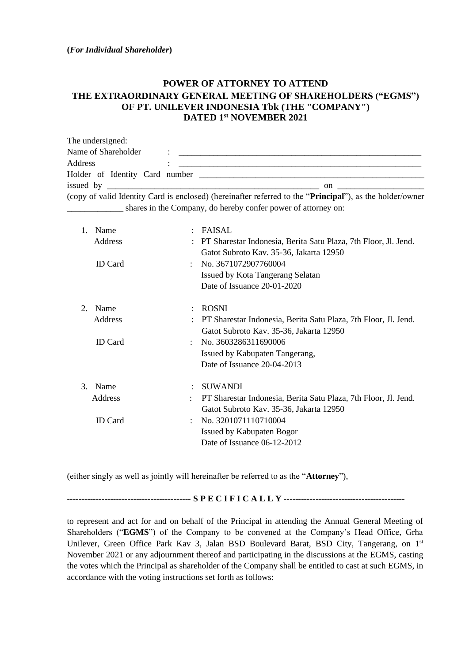## **POWER OF ATTORNEY TO ATTEND THE EXTRAORDINARY GENERAL MEETING OF SHAREHOLDERS ("EGMS") OF PT. UNILEVER INDONESIA Tbk (THE "COMPANY") DATED 1 st NOVEMBER 2021**

| The undersigned:    |                                                                                                                                                                                                                                   |
|---------------------|-----------------------------------------------------------------------------------------------------------------------------------------------------------------------------------------------------------------------------------|
| Name of Shareholder | $\mathbf{1}$ , the contract of the contract of the contract of the contract of the contract of the contract of the contract of the contract of the contract of the contract of the contract of the contract of the contract of th |
| Address             |                                                                                                                                                                                                                                   |
|                     |                                                                                                                                                                                                                                   |
|                     | on $\qquad \qquad \qquad$                                                                                                                                                                                                         |
|                     | (copy of valid Identity Card is enclosed) (hereinafter referred to the " <b>Principal</b> "), as the holder/owner                                                                                                                 |
|                     | shares in the Company, do hereby confer power of attorney on:                                                                                                                                                                     |

| $\mathbf{1}$ .        | Name<br>Address<br><b>ID</b> Card |   | FAISAL<br>PT Sharestar Indonesia, Berita Satu Plaza, 7th Floor, Jl. Jend.<br>Gatot Subroto Kav. 35-36, Jakarta 12950<br>: No. $3671072907760004$<br>Issued by Kota Tangerang Selatan<br>Date of Issuance 20-01-2020              |
|-----------------------|-----------------------------------|---|----------------------------------------------------------------------------------------------------------------------------------------------------------------------------------------------------------------------------------|
| $\mathcal{D}_{\cdot}$ | Name<br>Address<br><b>ID</b> Card |   | <b>ROSNI</b><br>PT Sharestar Indonesia, Berita Satu Plaza, 7th Floor, Jl. Jend.<br>Gatot Subroto Kav. 35-36, Jakarta 12950<br>$\therefore$ No. 3603286311690006<br>Issued by Kabupaten Tangerang,<br>Date of Issuance 20-04-2013 |
| 3.                    | Name<br>Address<br><b>ID</b> Card | ÷ | <b>SUWANDI</b><br>PT Sharestar Indonesia, Berita Satu Plaza, 7th Floor, Jl. Jend.<br>Gatot Subroto Kav. 35-36, Jakarta 12950<br>No. 3201071110710004<br><b>Issued by Kabupaten Bogor</b><br>Date of Issuance 06-12-2012          |

(either singly as well as jointly will hereinafter be referred to as the "**Attorney**"),

**------------------------------------------- S P E C I F I C A L L Y ------------------------------------------**

to represent and act for and on behalf of the Principal in attending the Annual General Meeting of Shareholders ("**EGMS**") of the Company to be convened at the Company's Head Office, Grha Unilever, Green Office Park Kav 3, Jalan BSD Boulevard Barat, BSD City, Tangerang, on 1<sup>st</sup> November 2021 or any adjournment thereof and participating in the discussions at the EGMS, casting the votes which the Principal as shareholder of the Company shall be entitled to cast at such EGMS, in accordance with the voting instructions set forth as follows: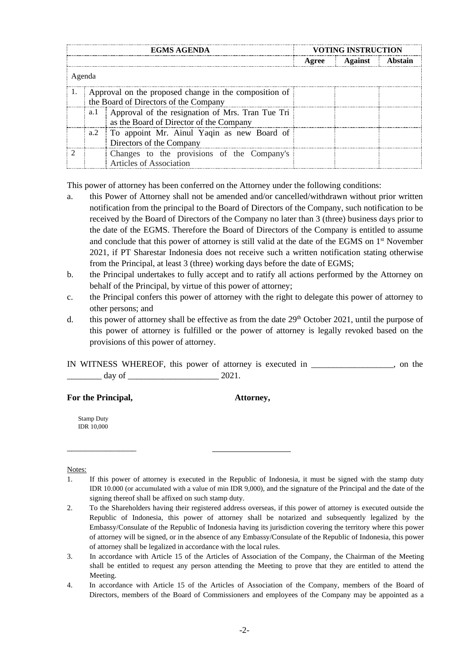| EGMS AGENDA |                                                                                                |                                                                                                 | <b>VOTING INSTRUCTION</b> |               |         |  |  |  |  |  |
|-------------|------------------------------------------------------------------------------------------------|-------------------------------------------------------------------------------------------------|---------------------------|---------------|---------|--|--|--|--|--|
|             |                                                                                                |                                                                                                 |                           | Agree Against | Abstain |  |  |  |  |  |
|             | Agenda                                                                                         |                                                                                                 |                           |               |         |  |  |  |  |  |
|             | Approval on the proposed change in the composition of<br>the Board of Directors of the Company |                                                                                                 |                           |               |         |  |  |  |  |  |
|             |                                                                                                | a.1 Approval of the resignation of Mrs. Tran Tue Tri<br>as the Board of Director of the Company |                           |               |         |  |  |  |  |  |
|             |                                                                                                | a.2 To appoint Mr. Ainul Yaqin as new Board of<br>Directors of the Company                      |                           |               |         |  |  |  |  |  |
|             |                                                                                                | Changes to the provisions of the Company's<br>Articles of Association                           |                           |               |         |  |  |  |  |  |

This power of attorney has been conferred on the Attorney under the following conditions:

- a. this Power of Attorney shall not be amended and/or cancelled/withdrawn without prior written notification from the principal to the Board of Directors of the Company, such notification to be received by the Board of Directors of the Company no later than 3 (three) business days prior to the date of the EGMS. Therefore the Board of Directors of the Company is entitled to assume and conclude that this power of attorney is still valid at the date of the EGMS on 1<sup>st</sup> November 2021, if PT Sharestar Indonesia does not receive such a written notification stating otherwise from the Principal, at least 3 (three) working days before the date of EGMS;
- b. the Principal undertakes to fully accept and to ratify all actions performed by the Attorney on behalf of the Principal, by virtue of this power of attorney;
- c. the Principal confers this power of attorney with the right to delegate this power of attorney to other persons; and
- d. this power of attorney shall be effective as from the date  $29<sup>th</sup>$  October 2021, until the purpose of this power of attorney is fulfilled or the power of attorney is legally revoked based on the provisions of this power of attorney.

IN WITNESS WHEREOF, this power of attorney is executed in \_\_\_\_\_\_\_\_\_\_\_\_\_\_\_\_\_\_\_, on the  $\frac{day}{x}$  of  $\frac{2021}{x}$ 

**For the Principal, Attorney,**

\_\_\_\_\_\_\_\_\_\_\_\_\_\_\_\_

Stamp Duty IDR 10,000

## Notes:

<sup>1.</sup> If this power of attorney is executed in the Republic of Indonesia, it must be signed with the stamp duty IDR 10.000 (or accumulated with a value of min IDR 9,000), and the signature of the Principal and the date of the signing thereof shall be affixed on such stamp duty.

<sup>2.</sup> To the Shareholders having their registered address overseas, if this power of attorney is executed outside the Republic of Indonesia, this power of attorney shall be notarized and subsequently legalized by the Embassy/Consulate of the Republic of Indonesia having its jurisdiction covering the territory where this power of attorney will be signed, or in the absence of any Embassy/Consulate of the Republic of Indonesia, this power of attorney shall be legalized in accordance with the local rules.

<sup>3.</sup> In accordance with Article 15 of the Articles of Association of the Company, the Chairman of the Meeting shall be entitled to request any person attending the Meeting to prove that they are entitled to attend the Meeting.

<sup>4.</sup> In accordance with Article 15 of the Articles of Association of the Company, members of the Board of Directors, members of the Board of Commissioners and employees of the Company may be appointed as a